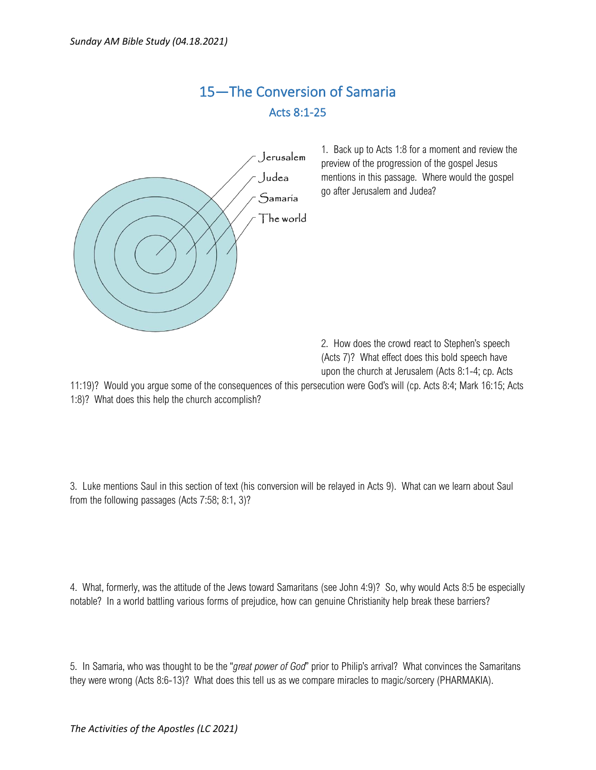## 15—The Conversion of Samaria Acts 8:1-25



1. Back up to Acts 1:8 for a moment and review the preview of the progression of the gospel Jesus mentions in this passage. Where would the gospel go after Jerusalem and Judea?

2. How does the crowd react to Stephen's speech (Acts 7)? What effect does this bold speech have upon the church at Jerusalem (Acts 8:1-4; cp. Acts

11:19)? Would you argue some of the consequences of this persecution were God's will (cp. Acts 8:4; Mark 16:15; Acts 1:8)? What does this help the church accomplish?

3. Luke mentions Saul in this section of text (his conversion will be relayed in Acts 9). What can we learn about Saul from the following passages (Acts 7:58; 8:1, 3)?

4. What, formerly, was the attitude of the Jews toward Samaritans (see John 4:9)? So, why would Acts 8:5 be especially notable? In a world battling various forms of prejudice, how can genuine Christianity help break these barriers?

5. In Samaria, who was thought to be the "*great power of God*" prior to Philip's arrival? What convinces the Samaritans they were wrong (Acts 8:6-13)? What does this tell us as we compare miracles to magic/sorcery (PHARMAKIA).